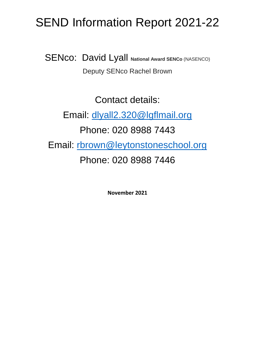## SEND Information Report 2021-22

**SENco: David Lyall National Award SENCO (NASENCO)** Deputy SENco Rachel Brown

Contact details: Email: [dlyall2.320@lgflmail.org](mailto:dlyall2.320@lgflmail.org) Phone: 020 8988 7443 Email: [rbrown@leytonstoneschool.org](mailto:rbrown@leytonstoneschool.org) Phone: 020 8988 7446

**November 2021**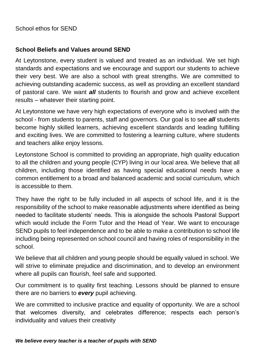School ethos for SEND

## **School Beliefs and Values around SEND**

At Leytonstone, every student is valued and treated as an individual. We set high standards and expectations and we encourage and support our students to achieve their very best. We are also a school with great strengths. We are committed to achieving outstanding academic success, as well as providing an excellent standard of pastoral care. We want *all* students to flourish and grow and achieve excellent results – whatever their starting point.

At Leytonstone we have very high expectations of everyone who is involved with the school - from students to parents, staff and governors. Our goal is to see *all* students become highly skilled learners, achieving excellent standards and leading fulfilling and exciting lives. We are committed to fostering a learning culture, where students and teachers alike enjoy lessons.

Leytonstone School is committed to providing an appropriate, high quality education to all the children and young people (CYP) living in our local area. We believe that all children, including those identified as having special educational needs have a common entitlement to a broad and balanced academic and social curriculum, which is accessible to them.

They have the right to be fully included in all aspects of school life, and it is the responsibility of the school to make reasonable adjustments where identified as being needed to facilitate students' needs. This is alongside the schools Pastoral Support which would include the Form Tutor and the Head of Year. We want to encourage SEND pupils to feel independence and to be able to make a contribution to school life including being represented on school council and having roles of responsibility in the school.

We believe that all children and young people should be equally valued in school. We will strive to eliminate prejudice and discrimination, and to develop an environment where all pupils can flourish, feel safe and supported.

Our commitment is to quality first teaching. Lessons should be planned to ensure there are no barriers to *every* pupil achieving.

We are committed to inclusive practice and equality of opportunity. We are a school that welcomes diversity, and celebrates difference; respects each person's individuality and values their creativity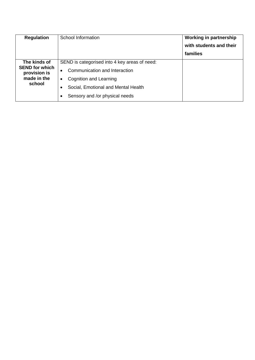| <b>Regulation</b>                                                              | School Information                                                                                                                                                                                          | <b>Working in partnership</b><br>with students and their<br>families |
|--------------------------------------------------------------------------------|-------------------------------------------------------------------------------------------------------------------------------------------------------------------------------------------------------------|----------------------------------------------------------------------|
| The kinds of<br><b>SEND for which</b><br>provision is<br>made in the<br>school | SEND is categorised into 4 key areas of need:<br>Communication and Interaction<br>$\bullet$<br>Cognition and Learning<br>$\bullet$<br>Social, Emotional and Mental Health<br>Sensory and /or physical needs |                                                                      |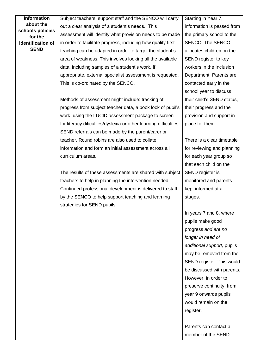| <b>Information</b>          | Subject teachers, support staff and the SENCO will carry          | Starting in Year 7,        |
|-----------------------------|-------------------------------------------------------------------|----------------------------|
| about the                   | out a clear analysis of a student's needs. This                   | information is passed from |
| schools policies<br>for the | assessment will identify what provision needs to be made          | the primary school to the  |
| identification of           | in order to facilitate progress, including how quality first      | SENCO. The SENCO           |
| <b>SEND</b>                 | teaching can be adapted in order to target the student's          | allocates children on the  |
|                             | area of weakness. This involves looking all the available         | SEND register to key       |
|                             | data, including samples of a student's work. If                   | workers in the Inclusion   |
|                             | appropriate, external specialist assessment is requested.         | Department. Parents are    |
|                             | This is co-ordinated by the SENCO.                                | contacted early in the     |
|                             |                                                                   | school year to discuss     |
|                             | Methods of assessment might include: tracking of                  | their child's SEND status, |
|                             | progress from subject teacher data, a book look of pupil's        | their progress and the     |
|                             | work, using the LUCID assessment package to screen                | provision and support in   |
|                             | for literacy dificulties/dyslexia or other learning difficulties. | place for them.            |
|                             | SEND referrals can be made by the parent/carer or                 |                            |
|                             | teacher. Round robins are also used to collate                    | There is a clear timetable |
|                             | information and form an initial assessment across all             | for reviewing and planning |
|                             | curriculum areas.                                                 | for each year group so     |
|                             |                                                                   | that each child on the     |
|                             | The results of these assessments are shared with subject          | SEND register is           |
|                             | teachers to help in planning the intervention needed.             | monitored and parents      |
|                             | Continued professional development is delivered to staff          | kept informed at all       |
|                             | by the SENCO to help support teaching and learning                | stages.                    |
|                             | strategies for SEND pupils.                                       |                            |
|                             |                                                                   | In years 7 and 8, where    |
|                             |                                                                   | pupils make good           |
|                             |                                                                   | progress and are no        |
|                             |                                                                   | longer in need of          |
|                             |                                                                   | additional support, pupils |
|                             |                                                                   | may be removed from the    |
|                             |                                                                   | SEND register. This would  |
|                             |                                                                   | be discussed with parents. |
|                             |                                                                   | However, in order to       |
|                             |                                                                   | preserve continuity, from  |
|                             |                                                                   | year 9 onwards pupils      |
|                             |                                                                   | would remain on the        |
|                             |                                                                   | register.                  |
|                             |                                                                   |                            |
|                             |                                                                   | Parents can contact a      |
|                             |                                                                   | member of the SEND         |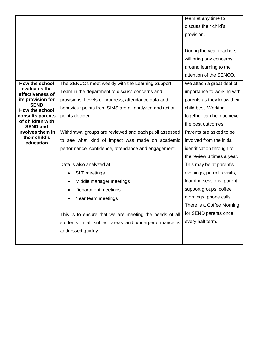|                                     |                                                        | team at any time to        |
|-------------------------------------|--------------------------------------------------------|----------------------------|
|                                     |                                                        | discuss their child's      |
|                                     |                                                        | provision.                 |
|                                     |                                                        |                            |
|                                     |                                                        | During the year teachers   |
|                                     |                                                        | will bring any concerns    |
|                                     |                                                        | around learning to the     |
|                                     |                                                        | attention of the SENCO.    |
| How the school                      | The SENCOs meet weekly with the Learning Support       | We attach a great deal of  |
| evaluates the<br>effectiveness of   | Team in the department to discuss concerns and         | importance to working with |
| its provision for                   | provisions. Levels of progress, attendance data and    | parents as they know their |
| <b>SEND</b><br>How the school       | behaviour points from SIMS are all analyzed and action | child best. Working        |
| consults parents                    | points decided.                                        | together can help achieve  |
| of children with<br><b>SEND and</b> |                                                        | the best outcomes.         |
| involves them in                    | Withdrawal groups are reviewed and each pupil assessed | Parents are asked to be    |
| their child's<br>education          | to see what kind of impact was made on academic        | involved from the initial  |
|                                     | performance, confidence, attendance and engagement.    | identification through to  |
|                                     |                                                        | the review 3 times a year. |
|                                     | Data is also analyzed at                               | This may be at parent's    |
|                                     | <b>SLT</b> meetings                                    | evenings, parent's visits, |
|                                     | Middle manager meetings<br>٠                           | learning sessions, parent  |
|                                     | Department meetings                                    | support groups, coffee     |
|                                     | Year team meetings                                     | mornings, phone calls.     |
|                                     |                                                        | There is a Coffee Morning  |
|                                     | This is to ensure that we are meeting the needs of all | for SEND parents once      |
|                                     | students in all subject areas and underperformance is  | every half term.           |
|                                     | addressed quickly.                                     |                            |
|                                     |                                                        |                            |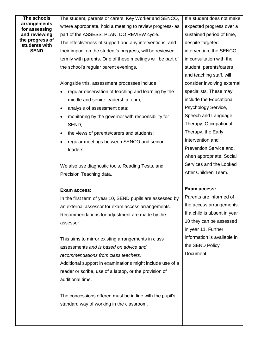| The schools                      | The student, parents or carers, Key Worker and SENCO,            | If a student does not make   |
|----------------------------------|------------------------------------------------------------------|------------------------------|
| arrangements<br>for assessing    | where appropriate, hold a meeting to review progress- as         | expected progress over a     |
| and reviewing                    | part of the ASSESS, PLAN, DO REVIEW cycle.                       | sustained period of time,    |
| the progress of<br>students with | The effectiveness of support and any interventions, and          | despite targeted             |
| <b>SEND</b>                      | their impact on the student's progress, will be reviewed         | intervention, the SENCO,     |
|                                  | termly with parents. One of these meetings will be part of       | in consultation with the     |
|                                  | the school's regular parent evenings.                            | student, parents/carers      |
|                                  |                                                                  | and teaching staff, will     |
|                                  | Alongside this, assessment processes include:                    | consider involving external  |
|                                  | regular observation of teaching and learning by the<br>$\bullet$ | specialists. These may       |
|                                  | middle and senior leadership team;                               | include the Educational      |
|                                  | analysis of assessment data;<br>$\bullet$                        | Psychology Service,          |
|                                  | monitoring by the governor with responsibility for<br>$\bullet$  | Speech and Language          |
|                                  | SEND;                                                            | Therapy, Occupational        |
|                                  | the views of parents/carers and students;<br>$\bullet$           | Therapy, the Early           |
|                                  | regular meetings between SENCO and senior<br>$\bullet$           | Intervention and             |
|                                  | leaders;                                                         | Prevention Service and,      |
|                                  |                                                                  | when appropriate, Social     |
|                                  | We also use diagnostic tools, Reading Tests, and                 | Services and the Looked      |
|                                  |                                                                  |                              |
|                                  | Precision Teaching data.                                         | After Children Team.         |
|                                  |                                                                  |                              |
|                                  | <b>Exam access:</b>                                              | Exam access:                 |
|                                  | In the first term of year 10, SEND pupils are assessed by        | Parents are informed of      |
|                                  | an external assessor for exam access arrangements.               | the access arrangements.     |
|                                  | Recommendations for adjustment are made by the                   | If a child is absent in year |
|                                  | assessor.                                                        | 10 they can be assessed      |
|                                  |                                                                  | in year 11. Further          |
|                                  | This aims to mirror existing arrangements in class               | information is available in  |
|                                  | assessments and is based on advice and                           | the SEND Policy              |
|                                  | recommendations from class teachers.                             | Document                     |
|                                  | Additional support in examinations might include use of a        |                              |
|                                  | reader or scribe, use of a laptop, or the provision of           |                              |
|                                  | additional time.                                                 |                              |
|                                  |                                                                  |                              |
|                                  | The concessions offered must be in line with the pupil's         |                              |
|                                  | standard way of working in the classroom.                        |                              |
|                                  |                                                                  |                              |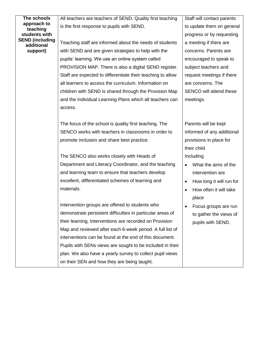| The schools                          | All teachers are teachers of SEND. Quality first teaching   | Staff will contact parents            |
|--------------------------------------|-------------------------------------------------------------|---------------------------------------|
| approach to<br>teaching              | is the first response to pupils with SEND.                  | to update them on general             |
| students with                        |                                                             | progress or by requesting             |
| <b>SEND (including</b><br>additional | Teaching staff are informed about the needs of students     | a meeting if there are                |
| support)                             | with SEND and are given strategies to help with the         | concerns. Parents are                 |
|                                      | pupils' learning. We use an online system called            | encouraged to speak to                |
|                                      | PROVISION MAP. There is also a digital SEND register.       | subject teachers and                  |
|                                      | Staff are expected to differentiate their teaching to allow | request meetings if there             |
|                                      | all learners to access the curriculum. Information on       | are concerns. The                     |
|                                      | children with SEND is shared through the Provision Map      | SENCO will attend these               |
|                                      | and the Individual Learning Plans which all teachers can    | meetings.                             |
|                                      | access.                                                     |                                       |
|                                      |                                                             |                                       |
|                                      | The focus of the school is quality first teaching. The      | Parents will be kept                  |
|                                      | SENCO works with teachers in classrooms in order to         | informed of any additional            |
|                                      | promote inclusion and share best practice.                  | provisions in place for               |
|                                      |                                                             | their child                           |
|                                      | The SENCO also works closely with Heads of                  | Including                             |
|                                      | Department and Literacy Coordinator, and the teaching       | What the aims of the<br>$\bullet$     |
|                                      | and learning team to ensure that teachers develop           | intervention are                      |
|                                      | excellent, differentiated schemes of learning and           | How long it will run for<br>$\bullet$ |
|                                      | materials.                                                  | How often it will take<br>$\bullet$   |
|                                      |                                                             | place                                 |
|                                      | Intervention groups are offered to students who             | Focus groups are run                  |
|                                      | demonstrate persistent difficulties in particular areas of  | to gather the views of                |
|                                      | their learning. Interventions are recorded on Provision     | pupils with SEND.                     |
|                                      | Map and reviewed after each 6-week period. A full list of   |                                       |
|                                      | interventions can be found at the end of this document.     |                                       |
|                                      | Pupils with SENs views are sought to be included in their   |                                       |
|                                      | plan. We also have a yearly survey to collect pupil views   |                                       |
|                                      | on their SEN and how they are being taught.                 |                                       |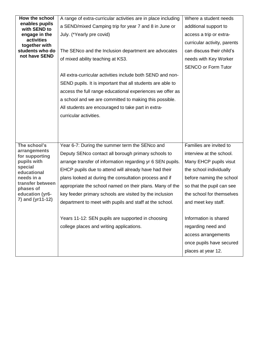| How the school<br>A range of extra-curricular activities are in place including                                        | Where a student needs |
|------------------------------------------------------------------------------------------------------------------------|-----------------------|
| enables pupils<br>a SEND/mixed Camping trip for year 7 and 8 in June or<br>additional support to<br>with SEND to       |                       |
| engage in the<br>July. (*Yearly pre covid)<br>access a trip or extra-                                                  |                       |
| activities<br>curricular activity, parents<br>together with                                                            |                       |
| students who do<br>The SENco and the Inclusion department are advocates<br>can discuss their child's                   |                       |
| not have SEND<br>of mixed ability teaching at KS3.<br>needs with Key Worker                                            |                       |
| <b>SENCO or Form Tutor</b>                                                                                             |                       |
| All extra-curricular activities include both SEND and non-                                                             |                       |
| SEND pupils. It is important that all students are able to                                                             |                       |
| access the full range educational experiences we offer as                                                              |                       |
| a school and we are committed to making this possible.                                                                 |                       |
| All students are encouraged to take part in extra-                                                                     |                       |
| curricular activities.                                                                                                 |                       |
|                                                                                                                        |                       |
|                                                                                                                        |                       |
|                                                                                                                        |                       |
| Year 6-7: During the summer term the SENco and<br>Families are invited to<br>The school's                              |                       |
| arrangements<br>Deputy SENco contact all borough primary schools to<br>interview at the school.<br>for supporting      |                       |
| pupils with<br>arrange transfer of information regarding yr 6 SEN pupils.<br>Many EHCP pupils visut                    |                       |
| special<br>EHCP pupils due to attend will already have had their<br>the school individually<br>educational             |                       |
| needs in a<br>plans looked at during the consultation process and if<br>before naming the school                       |                       |
| transfer between<br>appropriate the school named on their plans. Many of the<br>so that the pupil can see<br>phases of |                       |
| education (yr6-<br>key feeder primary schools are visited by the inclusion<br>the school for themselves                |                       |
| 7) and (yr11-12)<br>department to meet with pupils and staff at the school.<br>and meet key staff.                     |                       |
|                                                                                                                        |                       |
| Years 11-12: SEN pupils are supported in choosing<br>Information is shared                                             |                       |
| college places and writing applications.<br>regarding need and                                                         |                       |
| access arrangements                                                                                                    |                       |
| once pupils have secured                                                                                               |                       |
| places at year 12.                                                                                                     |                       |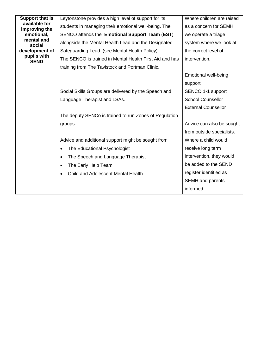| Support that is                | Leytonstone provides a high level of support for its    | Where children are raised   |
|--------------------------------|---------------------------------------------------------|-----------------------------|
| available for<br>improving the | students in managing their emotional well-being. The    | as a concern for SEMH       |
| emotional,                     | SENCO attends the Emotional Support Team (EST)          | we operate a triage         |
| mental and<br>social           | alongside the Mental Health Lead and the Designated     | system where we look at     |
| development of                 | Safeguarding Lead. (see Mental Health Policy)           | the correct level of        |
| pupils with<br><b>SEND</b>     | The SENCO is trained in Mental Health First Aid and has | intervention.               |
|                                | training from The Tavistock and Portman Clinic.         |                             |
|                                |                                                         | <b>Emotional well-being</b> |
|                                |                                                         | support                     |
|                                | Social Skills Groups are delivered by the Speech and    | SENCO 1-1 support           |
|                                | Language Therapist and LSAs.                            | <b>School Counsellor</b>    |
|                                |                                                         | <b>External Counsellor</b>  |
|                                | The deputy SENCo is trained to run Zones of Regulation  |                             |
|                                | groups.                                                 | Advice can also be sought   |
|                                |                                                         | from outside specialists.   |
|                                | Advice and additional support might be sought from      | Where a child would         |
|                                | The Educational Psychologist                            | receive long term           |
|                                | The Speech and Language Therapist                       | intervention, they would    |
|                                | The Early Help Team                                     | be added to the SEND        |
|                                | Child and Adolescent Mental Health                      | register identified as      |
|                                |                                                         | <b>SEMH</b> and parents     |
|                                |                                                         | informed.                   |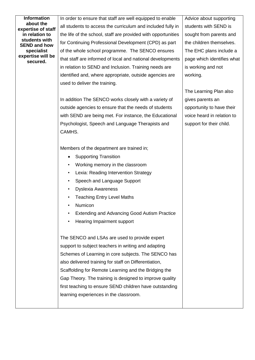| <b>Information</b><br>about the | In order to ensure that staff are well equipped to enable     | Advice about supporting    |
|---------------------------------|---------------------------------------------------------------|----------------------------|
| expertise of staff              | all students to access the curriculum and included fully in   | students with SEND is      |
| in relation to<br>students with | the life of the school, staff are provided with opportunities | sought from parents and    |
| <b>SEND and how</b>             | for Continuing Professional Development (CPD) as part         | the children themselves.   |
| specialist                      | of the whole school programme. The SENCO ensures              | The EHC plans include a    |
| expertise will be<br>secured.   | that staff are informed of local and national developments    | page which identifies what |
|                                 | in relation to SEND and Inclusion. Training needs are         | is working and not         |
|                                 | identified and, where appropriate, outside agencies are       | working.                   |
|                                 | used to deliver the training.                                 |                            |
|                                 |                                                               | The Learning Plan also     |
|                                 | In addition The SENCO works closely with a variety of         | gives parents an           |
|                                 | outside agencies to ensure that the needs of students         | opportunity to have their  |
|                                 | with SEND are being met. For instance, the Educational        | voice heard in relation to |
|                                 | Psychologist, Speech and Language Therapists and              | support for their child.   |
|                                 | CAMHS.                                                        |                            |
|                                 |                                                               |                            |
|                                 | Members of the department are trained in;                     |                            |
|                                 | <b>Supporting Transition</b>                                  |                            |
|                                 | Working memory in the classroom                               |                            |
|                                 | Lexia: Reading Intervention Strategy                          |                            |
|                                 | Speech and Language Support                                   |                            |
|                                 | <b>Dyslexia Awareness</b>                                     |                            |
|                                 | <b>Teaching Entry Level Maths</b>                             |                            |
|                                 | Numicon                                                       |                            |
|                                 | <b>Extending and Advancing Good Autism Practice</b>           |                            |
|                                 | Hearing Impairment support                                    |                            |
|                                 |                                                               |                            |
|                                 | The SENCO and LSAs are used to provide expert                 |                            |
|                                 | support to subject teachers in writing and adapting           |                            |
|                                 | Schemes of Learning in core subjects. The SENCO has           |                            |
|                                 | also delivered training for staff on Differentiation,         |                            |
|                                 | Scaffolding for Remote Learning and the Bridging the          |                            |
|                                 | Gap Theory. The training is designed to improve quality       |                            |
|                                 | first teaching to ensure SEND children have outstanding       |                            |
|                                 | learning experiences in the classroom.                        |                            |
|                                 |                                                               |                            |
|                                 |                                                               |                            |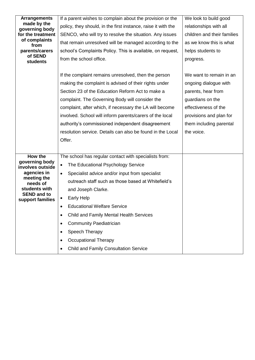| <b>Arrangements</b><br>made by the | If a parent wishes to complain about the provision or the     | We look to build good       |
|------------------------------------|---------------------------------------------------------------|-----------------------------|
| governing body                     | policy, they should, in the first instance, raise it with the | relationships with all      |
| for the treatment                  | SENCO, who will try to resolve the situation. Any issues      | children and their families |
| of complaints<br>from              | that remain unresolved will be managed according to the       | as we know this is what     |
| parents/carers                     | school's Complaints Policy. This is available, on request,    | helps students to           |
| of SEND<br><b>students</b>         | from the school office.                                       | progress.                   |
|                                    |                                                               |                             |
|                                    | If the complaint remains unresolved, then the person          | We want to remain in an     |
|                                    | making the complaint is advised of their rights under         | ongoing dialogue with       |
|                                    | Section 23 of the Education Reform Act to make a              | parents, hear from          |
|                                    | complaint. The Governing Body will consider the               | guardians on the            |
|                                    | complaint, after which, if necessary the LA will become       | effectiveness of the        |
|                                    | involved. School will inform parents/carers of the local      | provisions and plan for     |
|                                    | authority's commissioned independent disagreement             | them including parental     |
|                                    |                                                               |                             |
|                                    | resolution service. Details can also be found in the Local    | the voice.                  |
|                                    | Offer.                                                        |                             |
|                                    |                                                               |                             |
| How the                            | The school has regular contact with specialists from:         |                             |
| governing body                     | The Educational Psychology Service<br>$\bullet$               |                             |
| involves outside<br>agencies in    | Specialist advice and/or input from specialist<br>$\bullet$   |                             |
| meeting the                        | outreach staff such as those based at Whitefield's            |                             |
| needs of<br>students with          | and Joseph Clarke.                                            |                             |
| <b>SEND and to</b>                 | <b>Early Help</b>                                             |                             |
| support families                   | <b>Educational Welfare Service</b>                            |                             |
|                                    | Child and Family Mental Health Services<br>$\bullet$          |                             |
|                                    | <b>Community Paediatrician</b><br>$\bullet$                   |                             |
|                                    | Speech Therapy<br>$\bullet$                                   |                             |
|                                    | <b>Occupational Therapy</b><br>$\bullet$                      |                             |